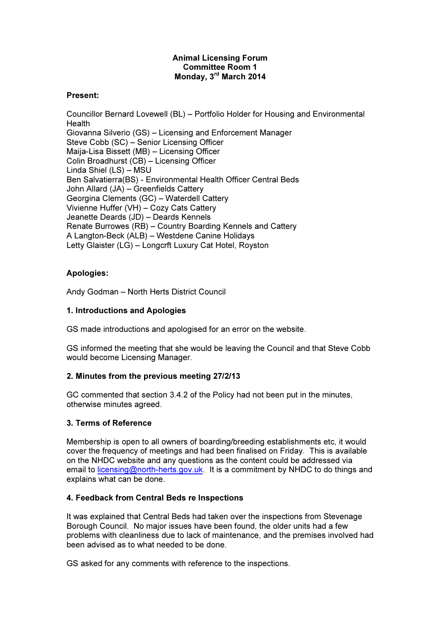## Animal Licensing Forum Committee Room 1 Monday, 3rd March 2014

#### Present:

Councillor Bernard Lovewell (BL) – Portfolio Holder for Housing and Environmental **Health** Giovanna Silverio (GS) – Licensing and Enforcement Manager Steve Cobb (SC) – Senior Licensing Officer Maija-Lisa Bissett (MB) – Licensing Officer Colin Broadhurst (CB) – Licensing Officer Linda Shiel (LS) – MSU Ben Salvatierra(BS) - Environmental Health Officer Central Beds John Allard (JA) – Greenfields Cattery Georgina Clements (GC) – Waterdell Cattery Vivienne Huffer (VH) – Cozy Cats Cattery Jeanette Deards (JD) – Deards Kennels Renate Burrowes (RB) – Country Boarding Kennels and Cattery A Langton-Beck (ALB) – Westdene Canine Holidays Letty Glaister (LG) – Longcrft Luxury Cat Hotel, Royston

# Apologies:

Andy Godman – North Herts District Council

# 1. Introductions and Apologies

GS made introductions and apologised for an error on the website.

GS informed the meeting that she would be leaving the Council and that Steve Cobb would become Licensing Manager.

## 2. Minutes from the previous meeting 27/2/13

GC commented that section 3.4.2 of the Policy had not been put in the minutes, otherwise minutes agreed.

## 3. Terms of Reference

Membership is open to all owners of boarding/breeding establishments etc, it would cover the frequency of meetings and had been finalised on Friday. This is available on the NHDC website and any questions as the content could be addressed via email to licensing@north-herts.gov.uk. It is a commitment by NHDC to do things and explains what can be done.

## 4. Feedback from Central Beds re Inspections

It was explained that Central Beds had taken over the inspections from Stevenage Borough Council. No major issues have been found, the older units had a few problems with cleanliness due to lack of maintenance, and the premises involved had been advised as to what needed to be done.

GS asked for any comments with reference to the inspections.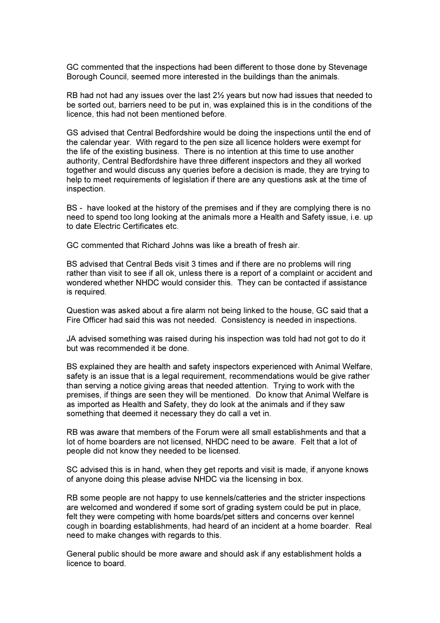GC commented that the inspections had been different to those done by Stevenage Borough Council, seemed more interested in the buildings than the animals.

RB had not had any issues over the last 2½ years but now had issues that needed to be sorted out, barriers need to be put in, was explained this is in the conditions of the licence, this had not been mentioned before.

GS advised that Central Bedfordshire would be doing the inspections until the end of the calendar year. With regard to the pen size all licence holders were exempt for the life of the existing business. There is no intention at this time to use another authority, Central Bedfordshire have three different inspectors and they all worked together and would discuss any queries before a decision is made, they are trying to help to meet requirements of legislation if there are any questions ask at the time of inspection.

BS - have looked at the history of the premises and if they are complying there is no need to spend too long looking at the animals more a Health and Safety issue, i.e. up to date Electric Certificates etc.

GC commented that Richard Johns was like a breath of fresh air.

BS advised that Central Beds visit 3 times and if there are no problems will ring rather than visit to see if all ok, unless there is a report of a complaint or accident and wondered whether NHDC would consider this. They can be contacted if assistance is required.

Question was asked about a fire alarm not being linked to the house, GC said that a Fire Officer had said this was not needed. Consistency is needed in inspections.

JA advised something was raised during his inspection was told had not got to do it but was recommended it be done.

BS explained they are health and safety inspectors experienced with Animal Welfare, safety is an issue that is a legal requirement, recommendations would be give rather than serving a notice giving areas that needed attention. Trying to work with the premises, if things are seen they will be mentioned. Do know that Animal Welfare is as imported as Health and Safety, they do look at the animals and if they saw something that deemed it necessary they do call a vet in.

RB was aware that members of the Forum were all small establishments and that a lot of home boarders are not licensed, NHDC need to be aware. Felt that a lot of people did not know they needed to be licensed.

SC advised this is in hand, when they get reports and visit is made, if anyone knows of anyone doing this please advise NHDC via the licensing in box.

RB some people are not happy to use kennels/catteries and the stricter inspections are welcomed and wondered if some sort of grading system could be put in place, felt they were competing with home boards/pet sitters and concerns over kennel cough in boarding establishments, had heard of an incident at a home boarder. Real need to make changes with regards to this.

General public should be more aware and should ask if any establishment holds a licence to board.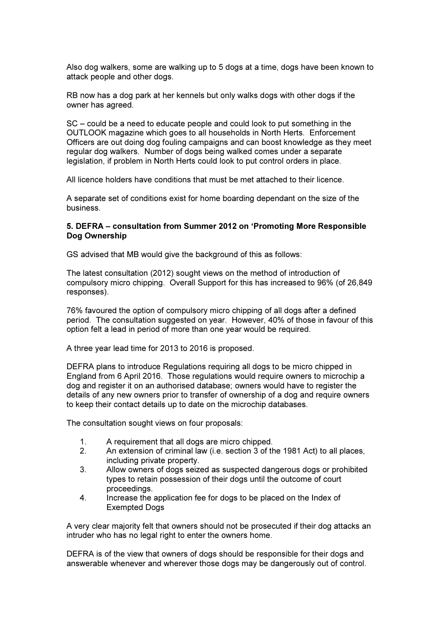Also dog walkers, some are walking up to 5 dogs at a time, dogs have been known to attack people and other dogs.

RB now has a dog park at her kennels but only walks dogs with other dogs if the owner has agreed.

SC – could be a need to educate people and could look to put something in the OUTLOOK magazine which goes to all households in North Herts. Enforcement Officers are out doing dog fouling campaigns and can boost knowledge as they meet regular dog walkers. Number of dogs being walked comes under a separate legislation, if problem in North Herts could look to put control orders in place.

All licence holders have conditions that must be met attached to their licence.

A separate set of conditions exist for home boarding dependant on the size of the business.

#### 5. DEFRA – consultation from Summer 2012 on 'Promoting More Responsible Dog Ownership

GS advised that MB would give the background of this as follows:

The latest consultation (2012) sought views on the method of introduction of compulsory micro chipping. Overall Support for this has increased to 96% (of 26,849 responses).

76% favoured the option of compulsory micro chipping of all dogs after a defined period. The consultation suggested on year. However, 40% of those in favour of this option felt a lead in period of more than one year would be required.

A three year lead time for 2013 to 2016 is proposed.

DEFRA plans to introduce Regulations requiring all dogs to be micro chipped in England from 6 April 2016. Those regulations would require owners to microchip a dog and register it on an authorised database; owners would have to register the details of any new owners prior to transfer of ownership of a dog and require owners to keep their contact details up to date on the microchip databases.

The consultation sought views on four proposals:

- 1. A requirement that all dogs are micro chipped.
- 2. An extension of criminal law (i.e. section 3 of the 1981 Act) to all places, including private property.
- 3. Allow owners of dogs seized as suspected dangerous dogs or prohibited types to retain possession of their dogs until the outcome of court proceedings.
- 4. Increase the application fee for dogs to be placed on the Index of Exempted Dogs

A very clear majority felt that owners should not be prosecuted if their dog attacks an intruder who has no legal right to enter the owners home.

DEFRA is of the view that owners of dogs should be responsible for their dogs and answerable whenever and wherever those dogs may be dangerously out of control.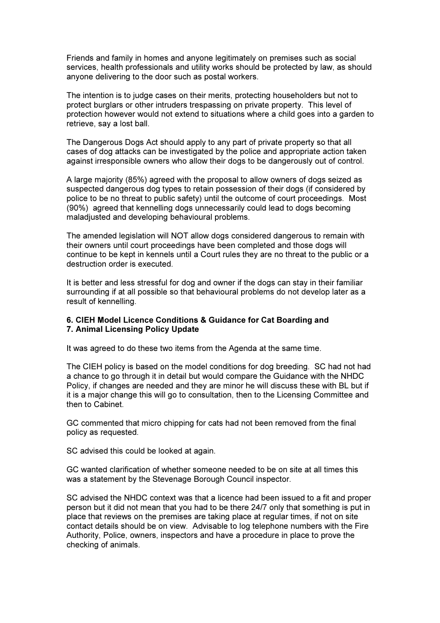Friends and family in homes and anyone legitimately on premises such as social services, health professionals and utility works should be protected by law, as should anyone delivering to the door such as postal workers.

The intention is to judge cases on their merits, protecting householders but not to protect burglars or other intruders trespassing on private property. This level of protection however would not extend to situations where a child goes into a garden to retrieve, say a lost ball.

The Dangerous Dogs Act should apply to any part of private property so that all cases of dog attacks can be investigated by the police and appropriate action taken against irresponsible owners who allow their dogs to be dangerously out of control.

A large majority (85%) agreed with the proposal to allow owners of dogs seized as suspected dangerous dog types to retain possession of their dogs (if considered by police to be no threat to public safety) until the outcome of court proceedings. Most (90%) agreed that kennelling dogs unnecessarily could lead to dogs becoming maladjusted and developing behavioural problems.

The amended legislation will NOT allow dogs considered dangerous to remain with their owners until court proceedings have been completed and those dogs will continue to be kept in kennels until a Court rules they are no threat to the public or a destruction order is executed.

It is better and less stressful for dog and owner if the dogs can stay in their familiar surrounding if at all possible so that behavioural problems do not develop later as a result of kennelling.

#### 6. CIEH Model Licence Conditions & Guidance for Cat Boarding and 7. Animal Licensing Policy Update

It was agreed to do these two items from the Agenda at the same time.

The CIEH policy is based on the model conditions for dog breeding. SC had not had a chance to go through it in detail but would compare the Guidance with the NHDC Policy, if changes are needed and they are minor he will discuss these with BL but if it is a major change this will go to consultation, then to the Licensing Committee and then to Cabinet.

GC commented that micro chipping for cats had not been removed from the final policy as requested.

SC advised this could be looked at again.

GC wanted clarification of whether someone needed to be on site at all times this was a statement by the Stevenage Borough Council inspector.

SC advised the NHDC context was that a licence had been issued to a fit and proper person but it did not mean that you had to be there 24/7 only that something is put in place that reviews on the premises are taking place at regular times, if not on site contact details should be on view. Advisable to log telephone numbers with the Fire Authority, Police, owners, inspectors and have a procedure in place to prove the checking of animals.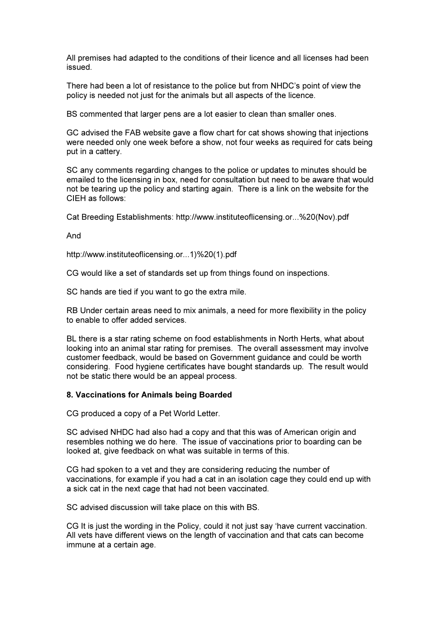All premises had adapted to the conditions of their licence and all licenses had been issued.

There had been a lot of resistance to the police but from NHDC's point of view the policy is needed not just for the animals but all aspects of the licence.

BS commented that larger pens are a lot easier to clean than smaller ones.

GC advised the FAB website gave a flow chart for cat shows showing that injections were needed only one week before a show, not four weeks as required for cats being put in a cattery.

SC any comments regarding changes to the police or updates to minutes should be emailed to the licensing in box, need for consultation but need to be aware that would not be tearing up the policy and starting again. There is a link on the website for the CIEH as follows:

Cat Breeding Establishments: http://www.instituteoflicensing.or...%20(Nov).pdf

And

http://www.instituteoflicensing.or...1)%20(1).pdf

CG would like a set of standards set up from things found on inspections.

SC hands are tied if you want to go the extra mile.

RB Under certain areas need to mix animals, a need for more flexibility in the policy to enable to offer added services.

BL there is a star rating scheme on food establishments in North Herts, what about looking into an animal star rating for premises. The overall assessment may involve customer feedback, would be based on Government guidance and could be worth considering. Food hygiene certificates have bought standards up. The result would not be static there would be an appeal process.

#### 8. Vaccinations for Animals being Boarded

CG produced a copy of a Pet World Letter.

SC advised NHDC had also had a copy and that this was of American origin and resembles nothing we do here. The issue of vaccinations prior to boarding can be looked at, give feedback on what was suitable in terms of this.

CG had spoken to a vet and they are considering reducing the number of vaccinations, for example if you had a cat in an isolation cage they could end up with a sick cat in the next cage that had not been vaccinated.

SC advised discussion will take place on this with BS.

CG It is just the wording in the Policy, could it not just say 'have current vaccination. All vets have different views on the length of vaccination and that cats can become immune at a certain age.